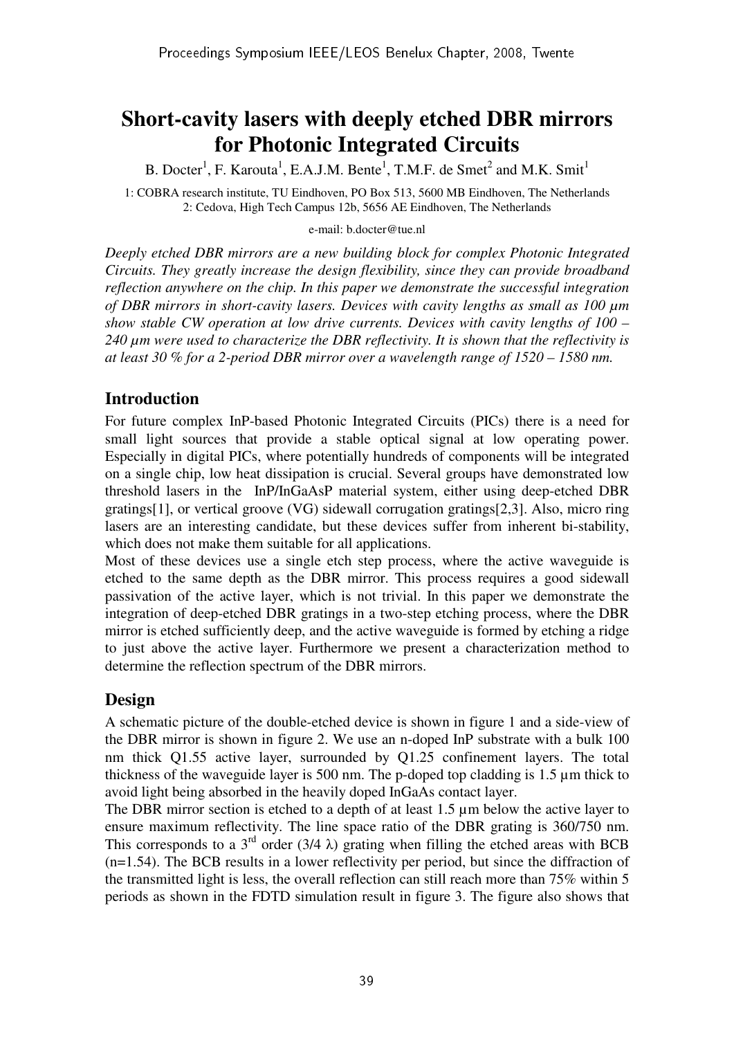# **Short-cavity lasers with deeply etched DBR mirrors for Photonic Integrated Circuits**

B. Docter<sup>1</sup>, F. Karouta<sup>1</sup>, E.A.J.M. Bente<sup>1</sup>, T.M.F. de Smet<sup>2</sup> and M.K. Smit<sup>1</sup>

1: COBRA research institute, TU Eindhoven, PO Box 513, 5600 MB Eindhoven, The Netherlands 2: Cedova, High Tech Campus 12b, 5656 AE Eindhoven, The Netherlands

e-mail: b.docter@tue.nl

*Deeply etched DBR mirrors are a new building block for complex Photonic Integrated Circuits. They greatly increase the design flexibility, since they can provide broadband reflection anywhere on the chip. In this paper we demonstrate the successful integration of DBR mirrors in short-cavity lasers. Devices with cavity lengths as small as 100 µm show stable CW operation at low drive currents. Devices with cavity lengths of 100 – 240 µm were used to characterize the DBR reflectivity. It is shown that the reflectivity is at least 30 % for a 2-period DBR mirror over a wavelength range of 1520 – 1580 nm.* 

### **Introduction**

For future complex InP-based Photonic Integrated Circuits (PICs) there is a need for small light sources that provide a stable optical signal at low operating power. Especially in digital PICs, where potentially hundreds of components will be integrated on a single chip, low heat dissipation is crucial. Several groups have demonstrated low threshold lasers in the InP/InGaAsP material system, either using deep-etched DBR gratings[1], or vertical groove (VG) sidewall corrugation gratings[2,3]. Also, micro ring lasers are an interesting candidate, but these devices suffer from inherent bi-stability, which does not make them suitable for all applications.

Most of these devices use a single etch step process, where the active waveguide is etched to the same depth as the DBR mirror. This process requires a good sidewall passivation of the active layer, which is not trivial. In this paper we demonstrate the integration of deep-etched DBR gratings in a two-step etching process, where the DBR mirror is etched sufficiently deep, and the active waveguide is formed by etching a ridge to just above the active layer. Furthermore we present a characterization method to determine the reflection spectrum of the DBR mirrors.

## **Design**

A schematic picture of the double-etched device is shown in figure 1 and a side-view of the DBR mirror is shown in figure 2. We use an n-doped InP substrate with a bulk 100 nm thick Q1.55 active layer, surrounded by Q1.25 confinement layers. The total thickness of the waveguide layer is 500 nm. The p-doped top cladding is 1.5 µm thick to avoid light being absorbed in the heavily doped InGaAs contact layer.

The DBR mirror section is etched to a depth of at least 1.5  $\mu$ m below the active layer to ensure maximum reflectivity. The line space ratio of the DBR grating is 360/750 nm. This corresponds to a  $3<sup>rd</sup>$  order (3/4  $\lambda$ ) grating when filling the etched areas with BCB (n=1.54). The BCB results in a lower reflectivity per period, but since the diffraction of the transmitted light is less, the overall reflection can still reach more than 75% within 5 periods as shown in the FDTD simulation result in figure 3. The figure also shows that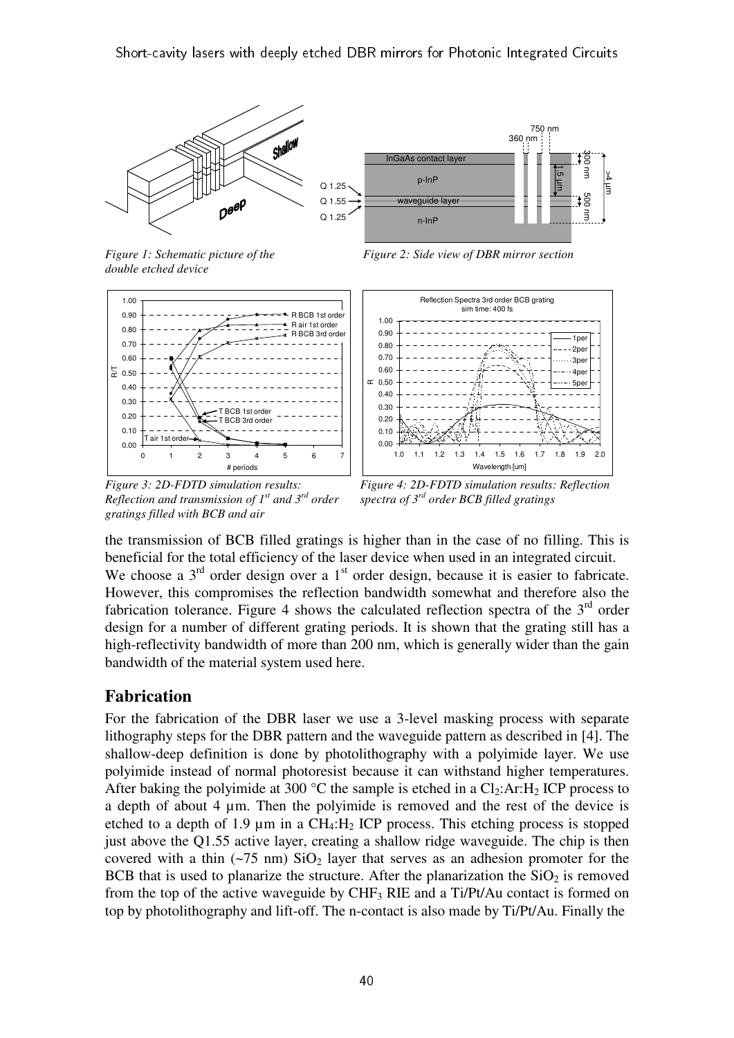

750 nm 360 nm InGaAs contact laye 1.5 µm  $\exists$  $\frac{1}{2}$ p-InP Q 1.25 500 nm Q 1.55 waveguide laye F Q 1.25 n-InP

*Figure 1: Schematic picture of the double etched device* 



*Figure 3: 2D-FDTD simulation results: Reflection and transmission of 1st and 3rd order gratings filled with BCB and air* 

*Figure 2: Side view of DBR mirror section* 



*Figure 4: 2D-FDTD simulation results: Reflection spectra of 3rd order BCB filled gratings* 

the transmission of BCB filled gratings is higher than in the case of no filling. This is beneficial for the total efficiency of the laser device when used in an integrated circuit. We choose a 3<sup>rd</sup> order design over a 1<sup>st</sup> order design, because it is easier to fabricate. However, this compromises the reflection bandwidth somewhat and therefore also the fabrication tolerance. Figure 4 shows the calculated reflection spectra of the  $3<sup>rd</sup>$  order design for a number of different grating periods. It is shown that the grating still has a high-reflectivity bandwidth of more than 200 nm, which is generally wider than the gain bandwidth of the material system used here.

### **Fabrication**

For the fabrication of the DBR laser we use a 3-level masking process with separate lithography steps for the DBR pattern and the waveguide pattern as described in [4]. The shallow-deep definition is done by photolithography with a polyimide layer. We use polyimide instead of normal photoresist because it can withstand higher temperatures. After baking the polyimide at 300  $^{\circ}$ C the sample is etched in a Cl<sub>2</sub>:Ar:H<sub>2</sub> ICP process to a depth of about 4 um. Then the polyimide is removed and the rest of the device is etched to a depth of 1.9  $\mu$ m in a CH<sub>4</sub>:H<sub>2</sub> ICP process. This etching process is stopped just above the Q1.55 active layer, creating a shallow ridge waveguide. The chip is then covered with a thin  $(-75 \text{ nm})$  SiO<sub>2</sub> layer that serves as an adhesion promoter for the BCB that is used to planarize the structure. After the planarization the  $SiO<sub>2</sub>$  is removed from the top of the active waveguide by  $CHF_3$  RIE and a Ti/Pt/Au contact is formed on top by photolithography and lift-off. The n-contact is also made by Ti/Pt/Au. Finally the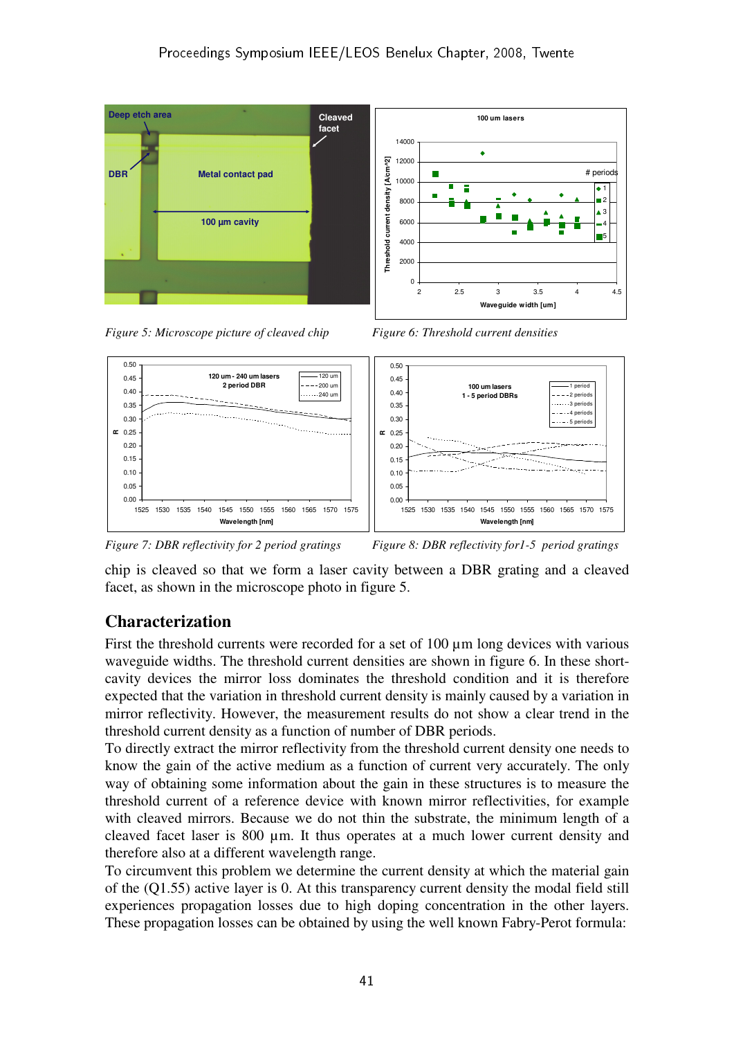

*Figure 5: Microscope picture of cleaved chip Figure 6: Threshold current densities* 





*Figure 7: DBR reflectivity for 2 period gratings Figure 8: DBR reflectivity for 1-5 period gratings* 

chip is cleaved so that we form a laser cavity between a DBR grating and a cleaved facet, as shown in the microscope photo in figure 5.

### **Characterization**

First the threshold currents were recorded for a set of  $100 \mu m$  long devices with various waveguide widths. The threshold current densities are shown in figure 6. In these shortcavity devices the mirror loss dominates the threshold condition and it is therefore expected that the variation in threshold current density is mainly caused by a variation in mirror reflectivity. However, the measurement results do not show a clear trend in the threshold current density as a function of number of DBR periods.

To directly extract the mirror reflectivity from the threshold current density one needs to know the gain of the active medium as a function of current very accurately. The only way of obtaining some information about the gain in these structures is to measure the threshold current of a reference device with known mirror reflectivities, for example with cleaved mirrors. Because we do not thin the substrate, the minimum length of a cleaved facet laser is 800 µm. It thus operates at a much lower current density and therefore also at a different wavelength range.

To circumvent this problem we determine the current density at which the material gain of the (Q1.55) active layer is 0. At this transparency current density the modal field still experiences propagation losses due to high doping concentration in the other layers. These propagation losses can be obtained by using the well known Fabry-Perot formula: